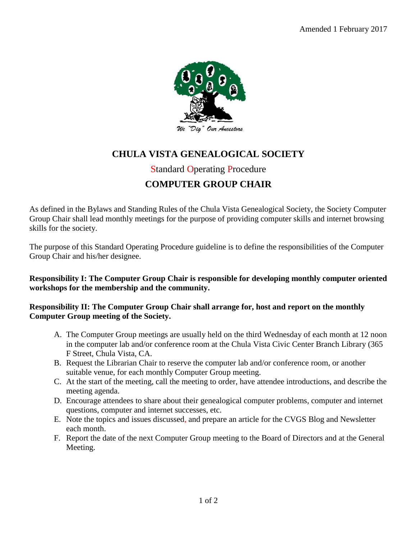

# **CHULA VISTA GENEALOGICAL SOCIETY**

### Standard Operating Procedure

## **COMPUTER GROUP CHAIR**

As defined in the Bylaws and Standing Rules of the Chula Vista Genealogical Society, the Society Computer Group Chair shall lead monthly meetings for the purpose of providing computer skills and internet browsing skills for the society.

The purpose of this Standard Operating Procedure guideline is to define the responsibilities of the Computer Group Chair and his/her designee.

#### **Responsibility I: The Computer Group Chair is responsible for developing monthly computer oriented workshops for the membership and the community.**

#### **Responsibility II: The Computer Group Chair shall arrange for, host and report on the monthly Computer Group meeting of the Society.**

- A. The Computer Group meetings are usually held on the third Wednesday of each month at 12 noon in the computer lab and/or conference room at the Chula Vista Civic Center Branch Library (365 F Street, Chula Vista, CA.
- B. Request the Librarian Chair to reserve the computer lab and/or conference room, or another suitable venue, for each monthly Computer Group meeting.
- C. At the start of the meeting, call the meeting to order, have attendee introductions, and describe the meeting agenda.
- D. Encourage attendees to share about their genealogical computer problems, computer and internet questions, computer and internet successes, etc.
- E. Note the topics and issues discussed, and prepare an article for the CVGS Blog and Newsletter each month.
- F. Report the date of the next Computer Group meeting to the Board of Directors and at the General Meeting.